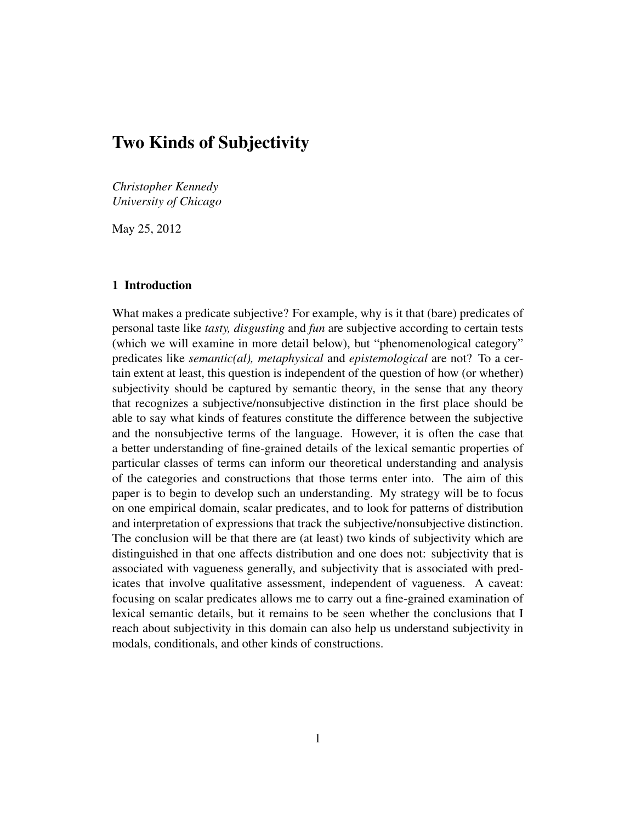# Two Kinds of Subjectivity

*Christopher Kennedy University of Chicago*

May 25, 2012

### 1 Introduction

What makes a predicate subjective? For example, why is it that (bare) predicates of personal taste like *tasty, disgusting* and *fun* are subjective according to certain tests (which we will examine in more detail below), but "phenomenological category" predicates like *semantic(al), metaphysical* and *epistemological* are not? To a certain extent at least, this question is independent of the question of how (or whether) subjectivity should be captured by semantic theory, in the sense that any theory that recognizes a subjective/nonsubjective distinction in the first place should be able to say what kinds of features constitute the difference between the subjective and the nonsubjective terms of the language. However, it is often the case that a better understanding of fine-grained details of the lexical semantic properties of particular classes of terms can inform our theoretical understanding and analysis of the categories and constructions that those terms enter into. The aim of this paper is to begin to develop such an understanding. My strategy will be to focus on one empirical domain, scalar predicates, and to look for patterns of distribution and interpretation of expressions that track the subjective/nonsubjective distinction. The conclusion will be that there are (at least) two kinds of subjectivity which are distinguished in that one affects distribution and one does not: subjectivity that is associated with vagueness generally, and subjectivity that is associated with predicates that involve qualitative assessment, independent of vagueness. A caveat: focusing on scalar predicates allows me to carry out a fine-grained examination of lexical semantic details, but it remains to be seen whether the conclusions that I reach about subjectivity in this domain can also help us understand subjectivity in modals, conditionals, and other kinds of constructions.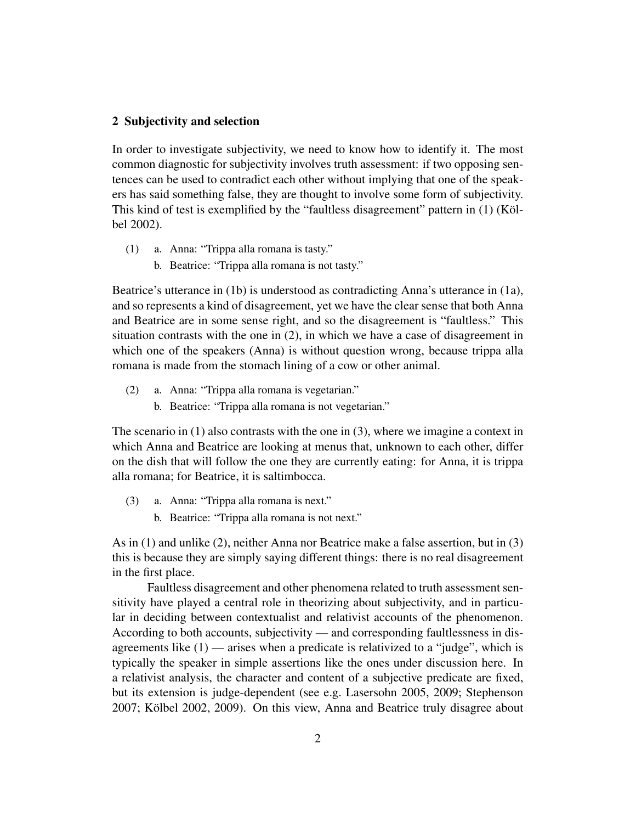#### 2 Subjectivity and selection

In order to investigate subjectivity, we need to know how to identify it. The most common diagnostic for subjectivity involves truth assessment: if two opposing sentences can be used to contradict each other without implying that one of the speakers has said something false, they are thought to involve some form of subjectivity. This kind of test is exemplified by the "faultless disagreement" pattern in (1) (Kölbel 2002).

- (1) a. Anna: "Trippa alla romana is tasty."
	- b. Beatrice: "Trippa alla romana is not tasty."

Beatrice's utterance in (1b) is understood as contradicting Anna's utterance in (1a), and so represents a kind of disagreement, yet we have the clear sense that both Anna and Beatrice are in some sense right, and so the disagreement is "faultless." This situation contrasts with the one in (2), in which we have a case of disagreement in which one of the speakers (Anna) is without question wrong, because trippa alla romana is made from the stomach lining of a cow or other animal.

- (2) a. Anna: "Trippa alla romana is vegetarian."
	- b. Beatrice: "Trippa alla romana is not vegetarian."

The scenario in (1) also contrasts with the one in (3), where we imagine a context in which Anna and Beatrice are looking at menus that, unknown to each other, differ on the dish that will follow the one they are currently eating: for Anna, it is trippa alla romana; for Beatrice, it is saltimbocca.

(3) a. Anna: "Trippa alla romana is next." b. Beatrice: "Trippa alla romana is not next."

As in (1) and unlike (2), neither Anna nor Beatrice make a false assertion, but in (3) this is because they are simply saying different things: there is no real disagreement in the first place.

Faultless disagreement and other phenomena related to truth assessment sensitivity have played a central role in theorizing about subjectivity, and in particular in deciding between contextualist and relativist accounts of the phenomenon. According to both accounts, subjectivity — and corresponding faultlessness in disagreements like  $(1)$  — arises when a predicate is relativized to a "judge", which is typically the speaker in simple assertions like the ones under discussion here. In a relativist analysis, the character and content of a subjective predicate are fixed, but its extension is judge-dependent (see e.g. Lasersohn 2005, 2009; Stephenson 2007; Kölbel 2002, 2009). On this view, Anna and Beatrice truly disagree about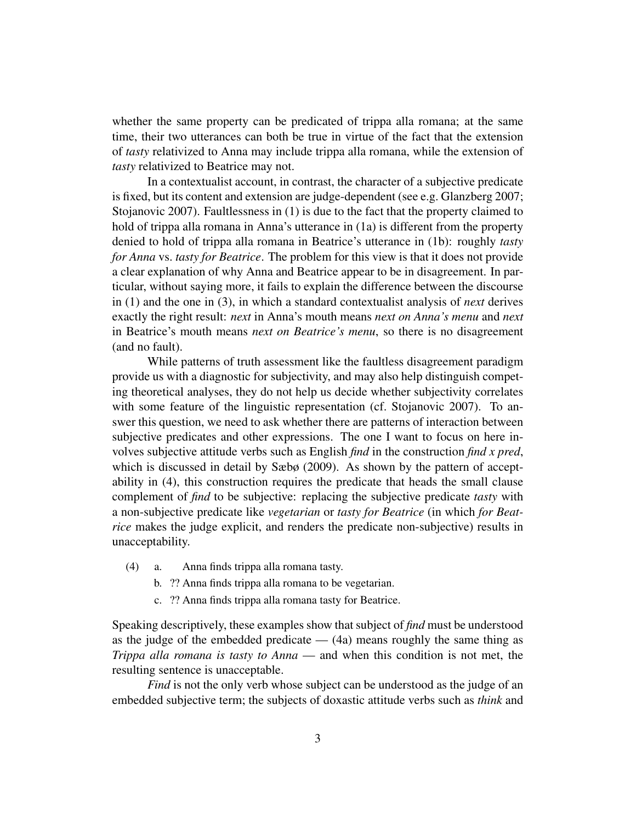whether the same property can be predicated of trippa alla romana; at the same time, their two utterances can both be true in virtue of the fact that the extension of *tasty* relativized to Anna may include trippa alla romana, while the extension of *tasty* relativized to Beatrice may not.

In a contextualist account, in contrast, the character of a subjective predicate is fixed, but its content and extension are judge-dependent (see e.g. Glanzberg 2007; Stojanovic 2007). Faultlessness in (1) is due to the fact that the property claimed to hold of trippa alla romana in Anna's utterance in (1a) is different from the property denied to hold of trippa alla romana in Beatrice's utterance in (1b): roughly *tasty for Anna* vs. *tasty for Beatrice*. The problem for this view is that it does not provide a clear explanation of why Anna and Beatrice appear to be in disagreement. In particular, without saying more, it fails to explain the difference between the discourse in (1) and the one in (3), in which a standard contextualist analysis of *next* derives exactly the right result: *next* in Anna's mouth means *next on Anna's menu* and *next* in Beatrice's mouth means *next on Beatrice's menu*, so there is no disagreement (and no fault).

While patterns of truth assessment like the faultless disagreement paradigm provide us with a diagnostic for subjectivity, and may also help distinguish competing theoretical analyses, they do not help us decide whether subjectivity correlates with some feature of the linguistic representation (cf. Stojanovic 2007). To answer this question, we need to ask whether there are patterns of interaction between subjective predicates and other expressions. The one I want to focus on here involves subjective attitude verbs such as English *find* in the construction *find x pred*, which is discussed in detail by Sæbø (2009). As shown by the pattern of acceptability in (4), this construction requires the predicate that heads the small clause complement of *find* to be subjective: replacing the subjective predicate *tasty* with a non-subjective predicate like *vegetarian* or *tasty for Beatrice* (in which *for Beatrice* makes the judge explicit, and renders the predicate non-subjective) results in unacceptability.

- (4) a. Anna finds trippa alla romana tasty.
	- b. ?? Anna finds trippa alla romana to be vegetarian.
	- c. ?? Anna finds trippa alla romana tasty for Beatrice.

Speaking descriptively, these examples show that subject of *find* must be understood as the judge of the embedded predicate  $-$  (4a) means roughly the same thing as *Trippa alla romana is tasty to Anna* — and when this condition is not met, the resulting sentence is unacceptable.

*Find* is not the only verb whose subject can be understood as the judge of an embedded subjective term; the subjects of doxastic attitude verbs such as *think* and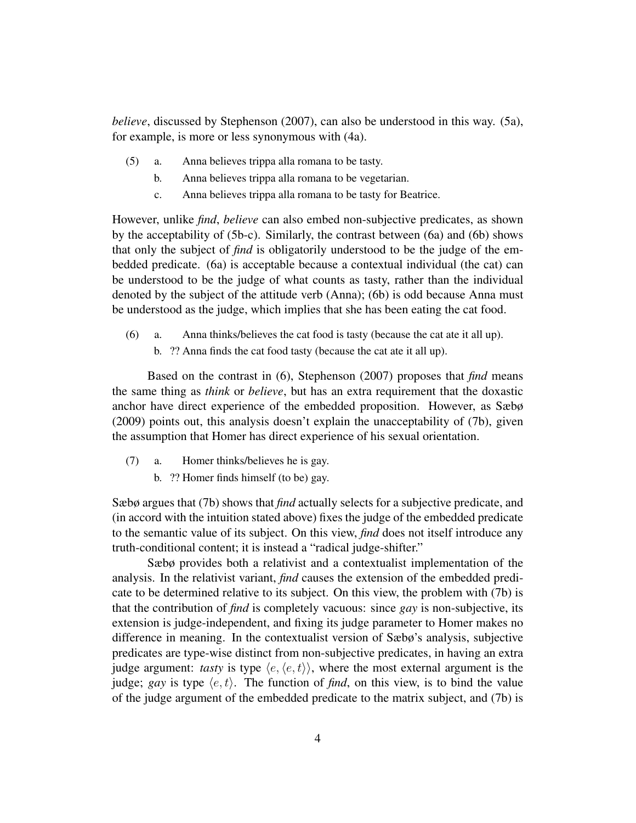*believe*, discussed by Stephenson (2007), can also be understood in this way. (5a), for example, is more or less synonymous with (4a).

- (5) a. Anna believes trippa alla romana to be tasty.
	- b. Anna believes trippa alla romana to be vegetarian.
	- c. Anna believes trippa alla romana to be tasty for Beatrice.

However, unlike *find*, *believe* can also embed non-subjective predicates, as shown by the acceptability of (5b-c). Similarly, the contrast between (6a) and (6b) shows that only the subject of *find* is obligatorily understood to be the judge of the embedded predicate. (6a) is acceptable because a contextual individual (the cat) can be understood to be the judge of what counts as tasty, rather than the individual denoted by the subject of the attitude verb (Anna); (6b) is odd because Anna must be understood as the judge, which implies that she has been eating the cat food.

- (6) a. Anna thinks/believes the cat food is tasty (because the cat ate it all up).
	- b. ?? Anna finds the cat food tasty (because the cat ate it all up).

Based on the contrast in (6), Stephenson (2007) proposes that *find* means the same thing as *think* or *believe*, but has an extra requirement that the doxastic anchor have direct experience of the embedded proposition. However, as Sæbø (2009) points out, this analysis doesn't explain the unacceptability of (7b), given the assumption that Homer has direct experience of his sexual orientation.

- (7) a. Homer thinks/believes he is gay.
	- b. ?? Homer finds himself (to be) gay.

Sæbø argues that (7b) shows that *find* actually selects for a subjective predicate, and (in accord with the intuition stated above) fixes the judge of the embedded predicate to the semantic value of its subject. On this view, *find* does not itself introduce any truth-conditional content; it is instead a "radical judge-shifter."

Sæbø provides both a relativist and a contextualist implementation of the analysis. In the relativist variant, *find* causes the extension of the embedded predicate to be determined relative to its subject. On this view, the problem with (7b) is that the contribution of *find* is completely vacuous: since *gay* is non-subjective, its extension is judge-independent, and fixing its judge parameter to Homer makes no difference in meaning. In the contextualist version of Sæbø's analysis, subjective predicates are type-wise distinct from non-subjective predicates, in having an extra judge argument: *tasty* is type  $\langle e, \langle e, t \rangle \rangle$ , where the most external argument is the judge; *gay* is type  $\langle e, t \rangle$ . The function of *find*, on this view, is to bind the value of the judge argument of the embedded predicate to the matrix subject, and (7b) is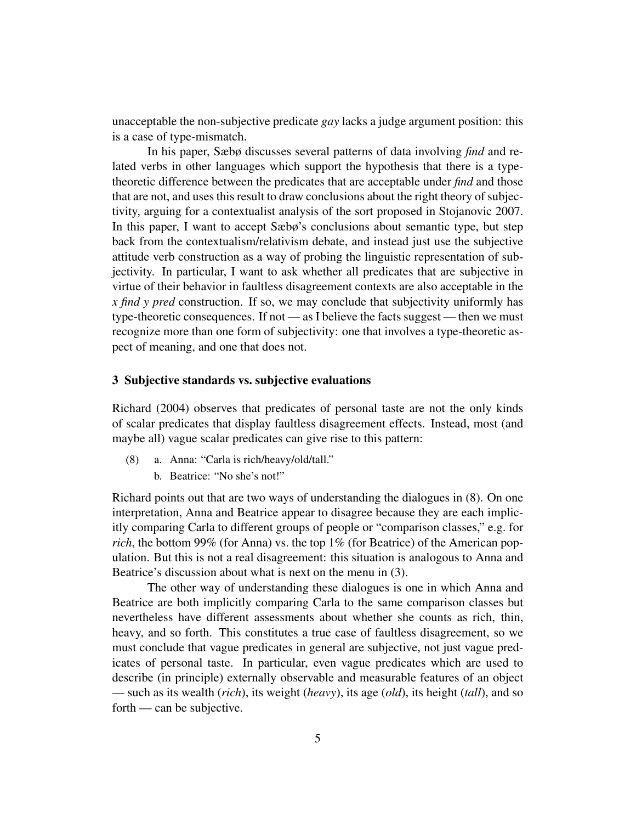unacceptable the non-subjective predicate *gay* lacks a judge argument position: this is a case of type-mismatch.

In his paper, Sæbø discusses several patterns of data involving *find* and related verbs in other languages which support the hypothesis that there is a typetheoretic difference between the predicates that are acceptable under *find* and those that are not, and uses this result to draw conclusions about the right theory of subjectivity, arguing for a contextualist analysis of the sort proposed in Stojanovic 2007. In this paper, I want to accept Sæbø's conclusions about semantic type, but step back from the contextualism/relativism debate, and instead just use the subjective attitude verb construction as a way of probing the linguistic representation of subjectivity. In particular, I want to ask whether all predicates that are subjective in virtue of their behavior in faultless disagreement contexts are also acceptable in the *x find y pred* construction. If so, we may conclude that subjectivity uniformly has type-theoretic consequences. If not — as I believe the facts suggest — then we must recognize more than one form of subjectivity: one that involves a type-theoretic aspect of meaning, and one that does not.

#### 3 Subjective standards vs. subjective evaluations

Richard (2004) observes that predicates of personal taste are not the only kinds of scalar predicates that display faultless disagreement effects. Instead, most (and maybe all) vague scalar predicates can give rise to this pattern:

- (8) a. Anna: "Carla is rich/heavy/old/tall."
	- b. Beatrice: "No she's not!"

Richard points out that are two ways of understanding the dialogues in (8). On one interpretation, Anna and Beatrice appear to disagree because they are each implicitly comparing Carla to different groups of people or "comparison classes," e.g. for *rich*, the bottom 99% (for Anna) vs. the top 1% (for Beatrice) of the American population. But this is not a real disagreement: this situation is analogous to Anna and Beatrice's discussion about what is next on the menu in (3).

The other way of understanding these dialogues is one in which Anna and Beatrice are both implicitly comparing Carla to the same comparison classes but nevertheless have different assessments about whether she counts as rich, thin, heavy, and so forth. This constitutes a true case of faultless disagreement, so we must conclude that vague predicates in general are subjective, not just vague predicates of personal taste. In particular, even vague predicates which are used to describe (in principle) externally observable and measurable features of an object — such as its wealth (*rich*), its weight (*heavy*), its age (*old*), its height (*tall*), and so forth — can be subjective.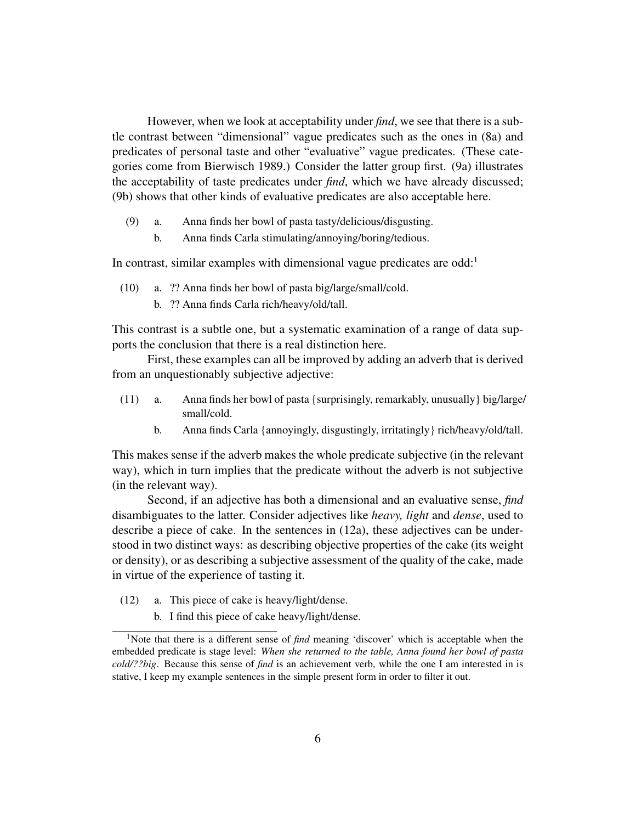However, when we look at acceptability under *find*, we see that there is a subtle contrast between "dimensional" vague predicates such as the ones in (8a) and predicates of personal taste and other "evaluative" vague predicates. (These categories come from Bierwisch 1989.) Consider the latter group first. (9a) illustrates the acceptability of taste predicates under *find*, which we have already discussed; (9b) shows that other kinds of evaluative predicates are also acceptable here.

- (9) a. Anna finds her bowl of pasta tasty/delicious/disgusting.
	- b. Anna finds Carla stimulating/annoying/boring/tedious.

In contrast, similar examples with dimensional vague predicates are odd: $<sup>1</sup>$ </sup>

- (10) a. ?? Anna finds her bowl of pasta big/large/small/cold.
	- b. ?? Anna finds Carla rich/heavy/old/tall.

This contrast is a subtle one, but a systematic examination of a range of data supports the conclusion that there is a real distinction here.

First, these examples can all be improved by adding an adverb that is derived from an unquestionably subjective adjective:

- (11) a. Anna finds her bowl of pasta {surprisingly, remarkably, unusually} big/large/ small/cold.
	- b. Anna finds Carla {annoyingly, disgustingly, irritatingly} rich/heavy/old/tall.

This makes sense if the adverb makes the whole predicate subjective (in the relevant way), which in turn implies that the predicate without the adverb is not subjective (in the relevant way).

Second, if an adjective has both a dimensional and an evaluative sense, *find* disambiguates to the latter. Consider adjectives like *heavy, light* and *dense*, used to describe a piece of cake. In the sentences in (12a), these adjectives can be understood in two distinct ways: as describing objective properties of the cake (its weight or density), or as describing a subjective assessment of the quality of the cake, made in virtue of the experience of tasting it.

- (12) a. This piece of cake is heavy/light/dense.
	- b. I find this piece of cake heavy/light/dense.

<sup>&</sup>lt;sup>1</sup>Note that there is a different sense of *find* meaning 'discover' which is acceptable when the embedded predicate is stage level: *When she returned to the table, Anna found her bowl of pasta cold/??big*. Because this sense of *find* is an achievement verb, while the one I am interested in is stative, I keep my example sentences in the simple present form in order to filter it out.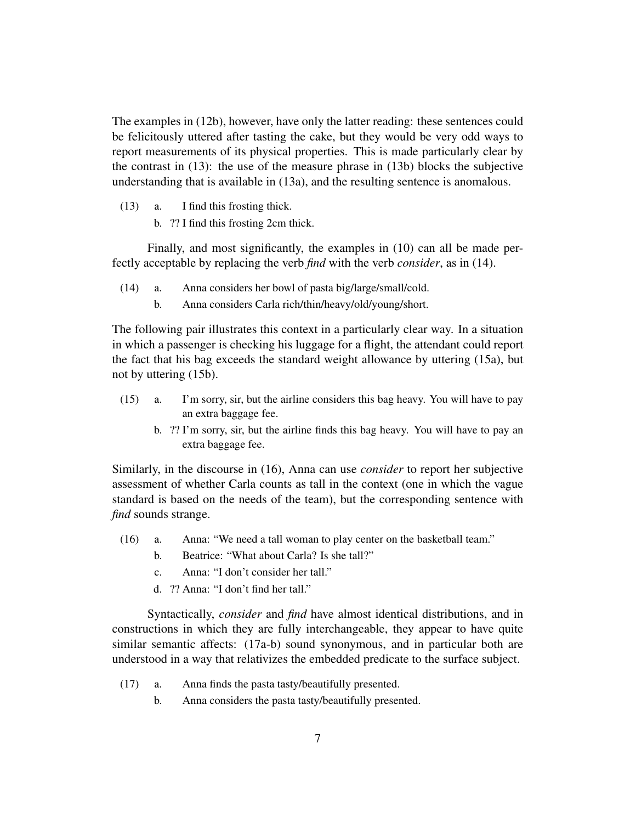The examples in (12b), however, have only the latter reading: these sentences could be felicitously uttered after tasting the cake, but they would be very odd ways to report measurements of its physical properties. This is made particularly clear by the contrast in (13): the use of the measure phrase in (13b) blocks the subjective understanding that is available in (13a), and the resulting sentence is anomalous.

- (13) a. I find this frosting thick.
	- b. ?? I find this frosting 2cm thick.

Finally, and most significantly, the examples in (10) can all be made perfectly acceptable by replacing the verb *find* with the verb *consider*, as in (14).

- (14) a. Anna considers her bowl of pasta big/large/small/cold.
	- b. Anna considers Carla rich/thin/heavy/old/young/short.

The following pair illustrates this context in a particularly clear way. In a situation in which a passenger is checking his luggage for a flight, the attendant could report the fact that his bag exceeds the standard weight allowance by uttering (15a), but not by uttering (15b).

- (15) a. I'm sorry, sir, but the airline considers this bag heavy. You will have to pay an extra baggage fee.
	- b. ?? I'm sorry, sir, but the airline finds this bag heavy. You will have to pay an extra baggage fee.

Similarly, in the discourse in (16), Anna can use *consider* to report her subjective assessment of whether Carla counts as tall in the context (one in which the vague standard is based on the needs of the team), but the corresponding sentence with *find* sounds strange.

- (16) a. Anna: "We need a tall woman to play center on the basketball team."
	- b. Beatrice: "What about Carla? Is she tall?"
	- c. Anna: "I don't consider her tall."
	- d. ?? Anna: "I don't find her tall."

Syntactically, *consider* and *find* have almost identical distributions, and in constructions in which they are fully interchangeable, they appear to have quite similar semantic affects: (17a-b) sound synonymous, and in particular both are understood in a way that relativizes the embedded predicate to the surface subject.

- (17) a. Anna finds the pasta tasty/beautifully presented.
	- b. Anna considers the pasta tasty/beautifully presented.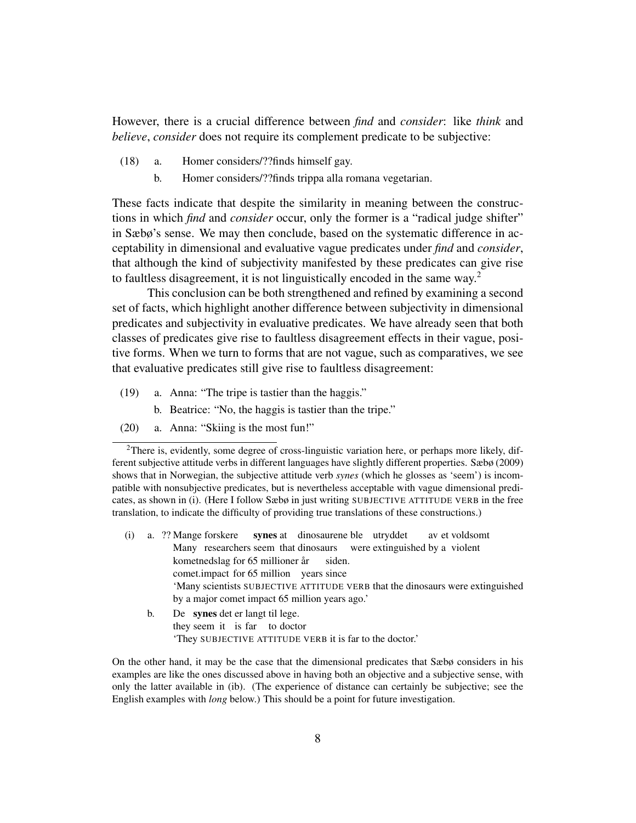However, there is a crucial difference between *find* and *consider*: like *think* and *believe*, *consider* does not require its complement predicate to be subjective:

- (18) a. Homer considers/??finds himself gay.
	- b. Homer considers/??finds trippa alla romana vegetarian.

These facts indicate that despite the similarity in meaning between the constructions in which *find* and *consider* occur, only the former is a "radical judge shifter" in Sæbø's sense. We may then conclude, based on the systematic difference in acceptability in dimensional and evaluative vague predicates under *find* and *consider*, that although the kind of subjectivity manifested by these predicates can give rise to faultless disagreement, it is not linguistically encoded in the same way.<sup>2</sup>

This conclusion can be both strengthened and refined by examining a second set of facts, which highlight another difference between subjectivity in dimensional predicates and subjectivity in evaluative predicates. We have already seen that both classes of predicates give rise to faultless disagreement effects in their vague, positive forms. When we turn to forms that are not vague, such as comparatives, we see that evaluative predicates still give rise to faultless disagreement:

- (19) a. Anna: "The tripe is tastier than the haggis."
	- b. Beatrice: "No, the haggis is tastier than the tripe."
- (20) a. Anna: "Skiing is the most fun!"

- (i) a. ?? Mange forskere Many researchers seem that dinosaurs were extinguished by a violent synes at dinosaurene ble utryddet av et voldsomt kometnedslag for 65 millioner år comet.impact for 65 million years since siden. 'Many scientists SUBJECTIVE ATTITUDE VERB that the dinosaurs were extinguished by a major comet impact 65 million years ago.' b. De synes det er langt til lege. they seem it is far to doctor
	- 'They SUBJECTIVE ATTITUDE VERB it is far to the doctor.'

On the other hand, it may be the case that the dimensional predicates that Sæbø considers in his examples are like the ones discussed above in having both an objective and a subjective sense, with only the latter available in (ib). (The experience of distance can certainly be subjective; see the English examples with *long* below.) This should be a point for future investigation.

<sup>&</sup>lt;sup>2</sup>There is, evidently, some degree of cross-linguistic variation here, or perhaps more likely, different subjective attitude verbs in different languages have slightly different properties. Sæbø (2009) shows that in Norwegian, the subjective attitude verb *synes* (which he glosses as 'seem') is incompatible with nonsubjective predicates, but is nevertheless acceptable with vague dimensional predicates, as shown in (i). (Here I follow Sæbø in just writing SUBJECTIVE ATTITUDE VERB in the free translation, to indicate the difficulty of providing true translations of these constructions.)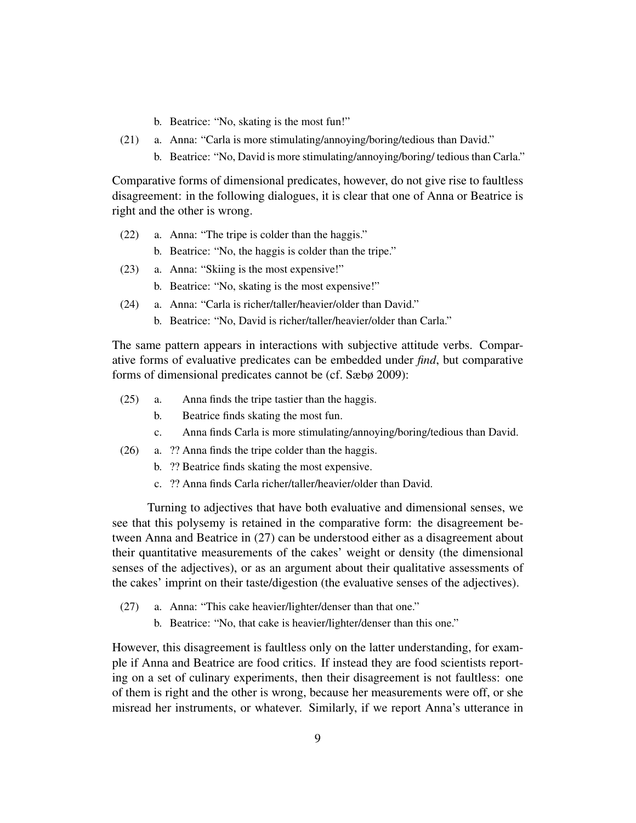- b. Beatrice: "No, skating is the most fun!"
- (21) a. Anna: "Carla is more stimulating/annoying/boring/tedious than David." b. Beatrice: "No, David is more stimulating/annoying/boring/ tedious than Carla."

Comparative forms of dimensional predicates, however, do not give rise to faultless disagreement: in the following dialogues, it is clear that one of Anna or Beatrice is right and the other is wrong.

- (22) a. Anna: "The tripe is colder than the haggis." b. Beatrice: "No, the haggis is colder than the tripe."
- (23) a. Anna: "Skiing is the most expensive!" b. Beatrice: "No, skating is the most expensive!"
- (24) a. Anna: "Carla is richer/taller/heavier/older than David." b. Beatrice: "No, David is richer/taller/heavier/older than Carla."

The same pattern appears in interactions with subjective attitude verbs. Comparative forms of evaluative predicates can be embedded under *find*, but comparative forms of dimensional predicates cannot be (cf. Sæbø 2009):

- (25) a. Anna finds the tripe tastier than the haggis.
	- b. Beatrice finds skating the most fun.
	- c. Anna finds Carla is more stimulating/annoying/boring/tedious than David.
- (26) a. ?? Anna finds the tripe colder than the haggis.
	- b. ?? Beatrice finds skating the most expensive.
	- c. ?? Anna finds Carla richer/taller/heavier/older than David.

Turning to adjectives that have both evaluative and dimensional senses, we see that this polysemy is retained in the comparative form: the disagreement between Anna and Beatrice in (27) can be understood either as a disagreement about their quantitative measurements of the cakes' weight or density (the dimensional senses of the adjectives), or as an argument about their qualitative assessments of the cakes' imprint on their taste/digestion (the evaluative senses of the adjectives).

- (27) a. Anna: "This cake heavier/lighter/denser than that one."
	- b. Beatrice: "No, that cake is heavier/lighter/denser than this one."

However, this disagreement is faultless only on the latter understanding, for example if Anna and Beatrice are food critics. If instead they are food scientists reporting on a set of culinary experiments, then their disagreement is not faultless: one of them is right and the other is wrong, because her measurements were off, or she misread her instruments, or whatever. Similarly, if we report Anna's utterance in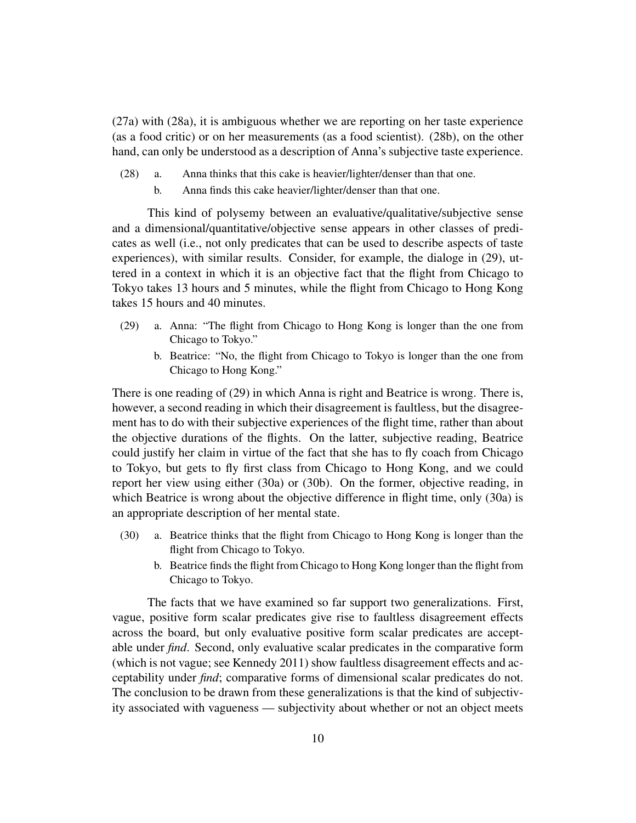(27a) with (28a), it is ambiguous whether we are reporting on her taste experience (as a food critic) or on her measurements (as a food scientist). (28b), on the other hand, can only be understood as a description of Anna's subjective taste experience.

- (28) a. Anna thinks that this cake is heavier/lighter/denser than that one.
	- b. Anna finds this cake heavier/lighter/denser than that one.

This kind of polysemy between an evaluative/qualitative/subjective sense and a dimensional/quantitative/objective sense appears in other classes of predicates as well (i.e., not only predicates that can be used to describe aspects of taste experiences), with similar results. Consider, for example, the dialoge in (29), uttered in a context in which it is an objective fact that the flight from Chicago to Tokyo takes 13 hours and 5 minutes, while the flight from Chicago to Hong Kong takes 15 hours and 40 minutes.

- (29) a. Anna: "The flight from Chicago to Hong Kong is longer than the one from Chicago to Tokyo."
	- b. Beatrice: "No, the flight from Chicago to Tokyo is longer than the one from Chicago to Hong Kong."

There is one reading of (29) in which Anna is right and Beatrice is wrong. There is, however, a second reading in which their disagreement is faultless, but the disagreement has to do with their subjective experiences of the flight time, rather than about the objective durations of the flights. On the latter, subjective reading, Beatrice could justify her claim in virtue of the fact that she has to fly coach from Chicago to Tokyo, but gets to fly first class from Chicago to Hong Kong, and we could report her view using either (30a) or (30b). On the former, objective reading, in which Beatrice is wrong about the objective difference in flight time, only (30a) is an appropriate description of her mental state.

- (30) a. Beatrice thinks that the flight from Chicago to Hong Kong is longer than the flight from Chicago to Tokyo.
	- b. Beatrice finds the flight from Chicago to Hong Kong longer than the flight from Chicago to Tokyo.

The facts that we have examined so far support two generalizations. First, vague, positive form scalar predicates give rise to faultless disagreement effects across the board, but only evaluative positive form scalar predicates are acceptable under *find*. Second, only evaluative scalar predicates in the comparative form (which is not vague; see Kennedy 2011) show faultless disagreement effects and acceptability under *find*; comparative forms of dimensional scalar predicates do not. The conclusion to be drawn from these generalizations is that the kind of subjectivity associated with vagueness — subjectivity about whether or not an object meets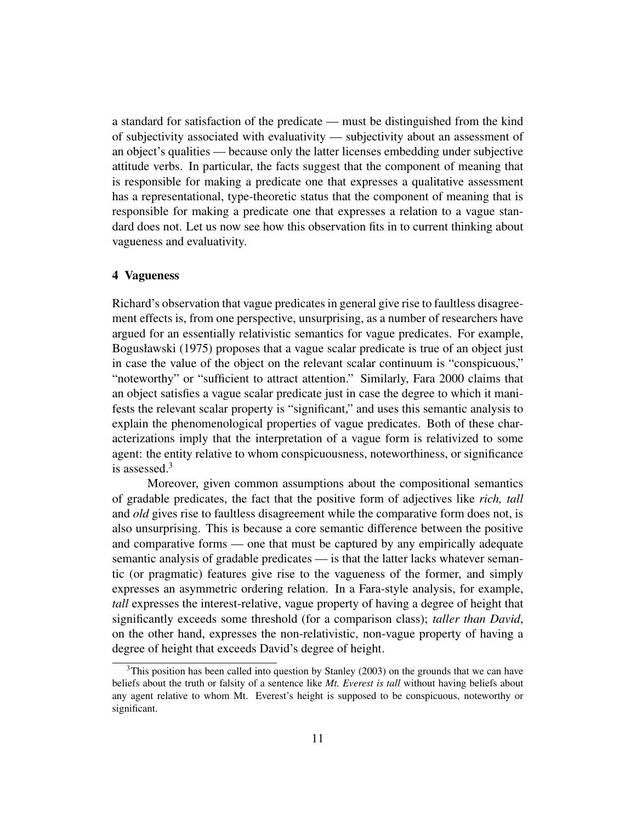a standard for satisfaction of the predicate — must be distinguished from the kind of subjectivity associated with evaluativity — subjectivity about an assessment of an object's qualities — because only the latter licenses embedding under subjective attitude verbs. In particular, the facts suggest that the component of meaning that is responsible for making a predicate one that expresses a qualitative assessment has a representational, type-theoretic status that the component of meaning that is responsible for making a predicate one that expresses a relation to a vague standard does not. Let us now see how this observation fits in to current thinking about vagueness and evaluativity.

### 4 Vagueness

Richard's observation that vague predicates in general give rise to faultless disagreement effects is, from one perspective, unsurprising, as a number of researchers have argued for an essentially relativistic semantics for vague predicates. For example, Bogusławski (1975) proposes that a vague scalar predicate is true of an object just in case the value of the object on the relevant scalar continuum is "conspicuous," "noteworthy" or "sufficient to attract attention." Similarly, Fara 2000 claims that an object satisfies a vague scalar predicate just in case the degree to which it manifests the relevant scalar property is "significant," and uses this semantic analysis to explain the phenomenological properties of vague predicates. Both of these characterizations imply that the interpretation of a vague form is relativized to some agent: the entity relative to whom conspicuousness, noteworthiness, or significance is assessed.<sup>3</sup>

Moreover, given common assumptions about the compositional semantics of gradable predicates, the fact that the positive form of adjectives like *rich, tall* and *old* gives rise to faultless disagreement while the comparative form does not, is also unsurprising. This is because a core semantic difference between the positive and comparative forms — one that must be captured by any empirically adequate semantic analysis of gradable predicates — is that the latter lacks whatever semantic (or pragmatic) features give rise to the vagueness of the former, and simply expresses an asymmetric ordering relation. In a Fara-style analysis, for example, *tall* expresses the interest-relative, vague property of having a degree of height that significantly exceeds some threshold (for a comparison class); *taller than David*, on the other hand, expresses the non-relativistic, non-vague property of having a degree of height that exceeds David's degree of height.

 $3$ This position has been called into question by Stanley (2003) on the grounds that we can have beliefs about the truth or falsity of a sentence like *Mt. Everest is tall* without having beliefs about any agent relative to whom Mt. Everest's height is supposed to be conspicuous, noteworthy or significant.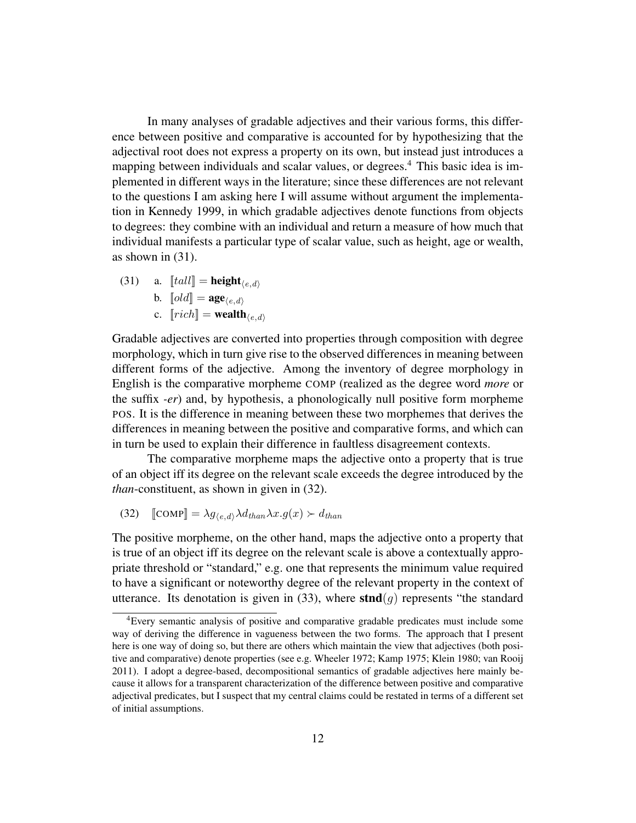In many analyses of gradable adjectives and their various forms, this difference between positive and comparative is accounted for by hypothesizing that the adjectival root does not express a property on its own, but instead just introduces a mapping between individuals and scalar values, or degrees.<sup>4</sup> This basic idea is implemented in different ways in the literature; since these differences are not relevant to the questions I am asking here I will assume without argument the implementation in Kennedy 1999, in which gradable adjectives denote functions from objects to degrees: they combine with an individual and return a measure of how much that individual manifests a particular type of scalar value, such as height, age or wealth, as shown in (31).

(31) a.  $\llbracket \text{tall} \rrbracket = \text{height}_{\langle e,d \rangle}$ b.  $\llbracket old \rrbracket = \mathbf{age}_{\langle e,d \rangle}$ c.  $\lbrack \lbrack rich \rbrack = \textbf{wealth}_{\langle e, d \rangle}$ 

Gradable adjectives are converted into properties through composition with degree morphology, which in turn give rise to the observed differences in meaning between different forms of the adjective. Among the inventory of degree morphology in English is the comparative morpheme COMP (realized as the degree word *more* or the suffix *-er*) and, by hypothesis, a phonologically null positive form morpheme POS. It is the difference in meaning between these two morphemes that derives the differences in meaning between the positive and comparative forms, and which can in turn be used to explain their difference in faultless disagreement contexts.

The comparative morpheme maps the adjective onto a property that is true of an object iff its degree on the relevant scale exceeds the degree introduced by the *than*-constituent, as shown in given in (32).

$$
(32) \quad \text{[COMP]} = \lambda g_{\langle e,d \rangle} \lambda d_{than} \lambda x. g(x) \succ d_{than}
$$

The positive morpheme, on the other hand, maps the adjective onto a property that is true of an object iff its degree on the relevant scale is above a contextually appropriate threshold or "standard," e.g. one that represents the minimum value required to have a significant or noteworthy degree of the relevant property in the context of utterance. Its denotation is given in (33), where  $\text{strad}(q)$  represents "the standard

<sup>4</sup>Every semantic analysis of positive and comparative gradable predicates must include some way of deriving the difference in vagueness between the two forms. The approach that I present here is one way of doing so, but there are others which maintain the view that adjectives (both positive and comparative) denote properties (see e.g. Wheeler 1972; Kamp 1975; Klein 1980; van Rooij 2011). I adopt a degree-based, decompositional semantics of gradable adjectives here mainly because it allows for a transparent characterization of the difference between positive and comparative adjectival predicates, but I suspect that my central claims could be restated in terms of a different set of initial assumptions.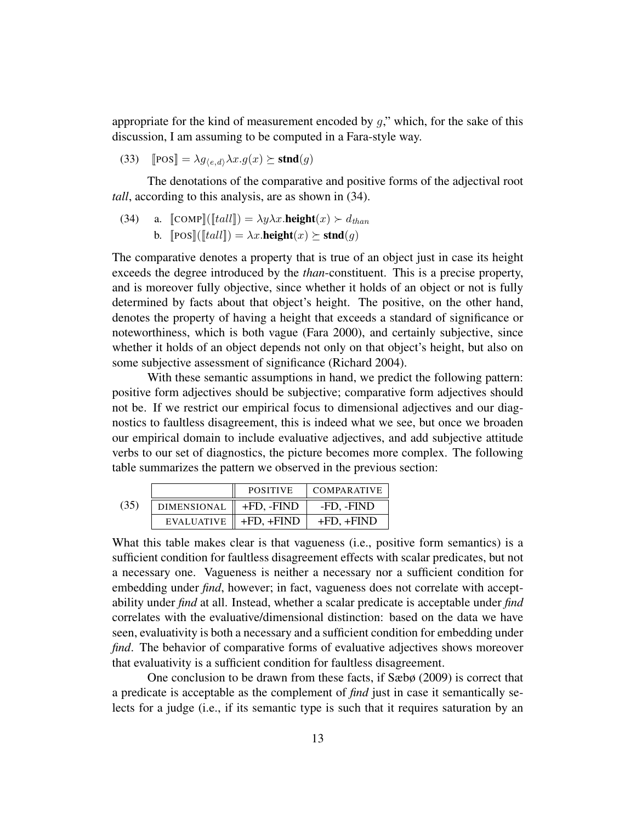appropriate for the kind of measurement encoded by  $q$ ," which, for the sake of this discussion, I am assuming to be computed in a Fara-style way.

(33)  $[\![\ensuremath{\text{POS}}\!] = \lambda g_{\langle e,d\rangle} \lambda x. g(x) \succeq \text{stnd}(g)$ 

The denotations of the comparative and positive forms of the adjectival root *tall*, according to this analysis, are as shown in (34).

(34) a.  $\text{[COMP]}([\text{[tall]}]) = \lambda y \lambda x. \text{height}(x) \succ d_{than}$ b.  $\text{[pos]}(\text{[tall]}) = \lambda x. \text{height}(x) \succ \text{stnd}(q)$ 

The comparative denotes a property that is true of an object just in case its height exceeds the degree introduced by the *than*-constituent. This is a precise property, and is moreover fully objective, since whether it holds of an object or not is fully determined by facts about that object's height. The positive, on the other hand, denotes the property of having a height that exceeds a standard of significance or noteworthiness, which is both vague (Fara 2000), and certainly subjective, since whether it holds of an object depends not only on that object's height, but also on some subjective assessment of significance (Richard 2004).

With these semantic assumptions in hand, we predict the following pattern: positive form adjectives should be subjective; comparative form adjectives should not be. If we restrict our empirical focus to dimensional adjectives and our diagnostics to faultless disagreement, this is indeed what we see, but once we broaden our empirical domain to include evaluative adjectives, and add subjective attitude verbs to our set of diagnostics, the picture becomes more complex. The following table summarizes the pattern we observed in the previous section:

|      |             | POSITIVE               | <b>COMPARATIVE</b> |
|------|-------------|------------------------|--------------------|
| (35) | DIMENSIONAL | +FD. -FIND             | -FD, -FIND         |
|      | EVALUATIVE  | $\parallel$ +FD, +FIND | $+FD$ , $+FIND$    |

What this table makes clear is that vagueness (i.e., positive form semantics) is a sufficient condition for faultless disagreement effects with scalar predicates, but not a necessary one. Vagueness is neither a necessary nor a sufficient condition for embedding under *find*, however; in fact, vagueness does not correlate with acceptability under *find* at all. Instead, whether a scalar predicate is acceptable under *find* correlates with the evaluative/dimensional distinction: based on the data we have seen, evaluativity is both a necessary and a sufficient condition for embedding under *find*. The behavior of comparative forms of evaluative adjectives shows moreover that evaluativity is a sufficient condition for faultless disagreement.

One conclusion to be drawn from these facts, if Sæbø (2009) is correct that a predicate is acceptable as the complement of *find* just in case it semantically selects for a judge (i.e., if its semantic type is such that it requires saturation by an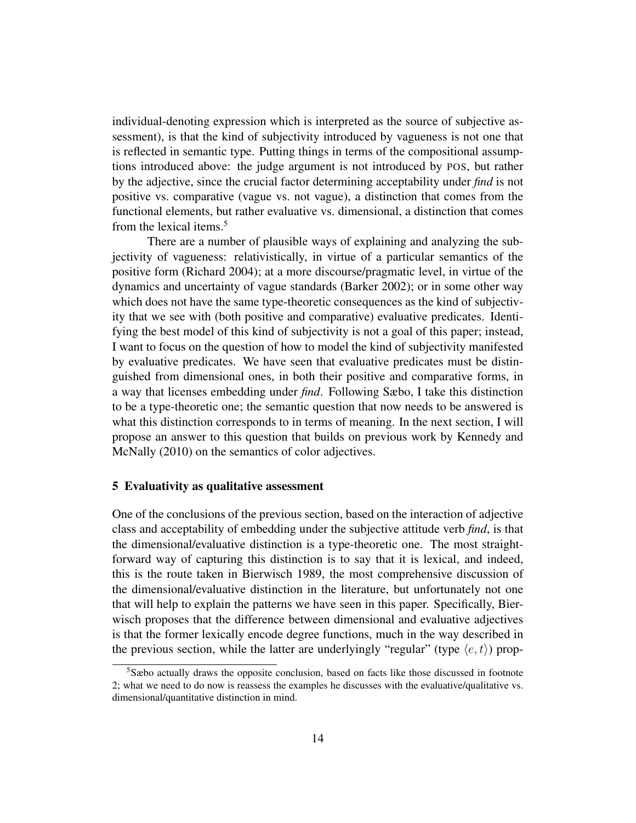individual-denoting expression which is interpreted as the source of subjective assessment), is that the kind of subjectivity introduced by vagueness is not one that is reflected in semantic type. Putting things in terms of the compositional assumptions introduced above: the judge argument is not introduced by POS, but rather by the adjective, since the crucial factor determining acceptability under *find* is not positive vs. comparative (vague vs. not vague), a distinction that comes from the functional elements, but rather evaluative vs. dimensional, a distinction that comes from the lexical items. $5$ 

There are a number of plausible ways of explaining and analyzing the subjectivity of vagueness: relativistically, in virtue of a particular semantics of the positive form (Richard 2004); at a more discourse/pragmatic level, in virtue of the dynamics and uncertainty of vague standards (Barker 2002); or in some other way which does not have the same type-theoretic consequences as the kind of subjectivity that we see with (both positive and comparative) evaluative predicates. Identifying the best model of this kind of subjectivity is not a goal of this paper; instead, I want to focus on the question of how to model the kind of subjectivity manifested by evaluative predicates. We have seen that evaluative predicates must be distinguished from dimensional ones, in both their positive and comparative forms, in a way that licenses embedding under *find*. Following Sæbo, I take this distinction to be a type-theoretic one; the semantic question that now needs to be answered is what this distinction corresponds to in terms of meaning. In the next section, I will propose an answer to this question that builds on previous work by Kennedy and McNally (2010) on the semantics of color adjectives.

## 5 Evaluativity as qualitative assessment

One of the conclusions of the previous section, based on the interaction of adjective class and acceptability of embedding under the subjective attitude verb *find*, is that the dimensional/evaluative distinction is a type-theoretic one. The most straightforward way of capturing this distinction is to say that it is lexical, and indeed, this is the route taken in Bierwisch 1989, the most comprehensive discussion of the dimensional/evaluative distinction in the literature, but unfortunately not one that will help to explain the patterns we have seen in this paper. Specifically, Bierwisch proposes that the difference between dimensional and evaluative adjectives is that the former lexically encode degree functions, much in the way described in the previous section, while the latter are underlyingly "regular" (type  $\langle e, t \rangle$ ) prop-

<sup>5</sup>Sæbo actually draws the opposite conclusion, based on facts like those discussed in footnote 2; what we need to do now is reassess the examples he discusses with the evaluative/qualitative vs. dimensional/quantitative distinction in mind.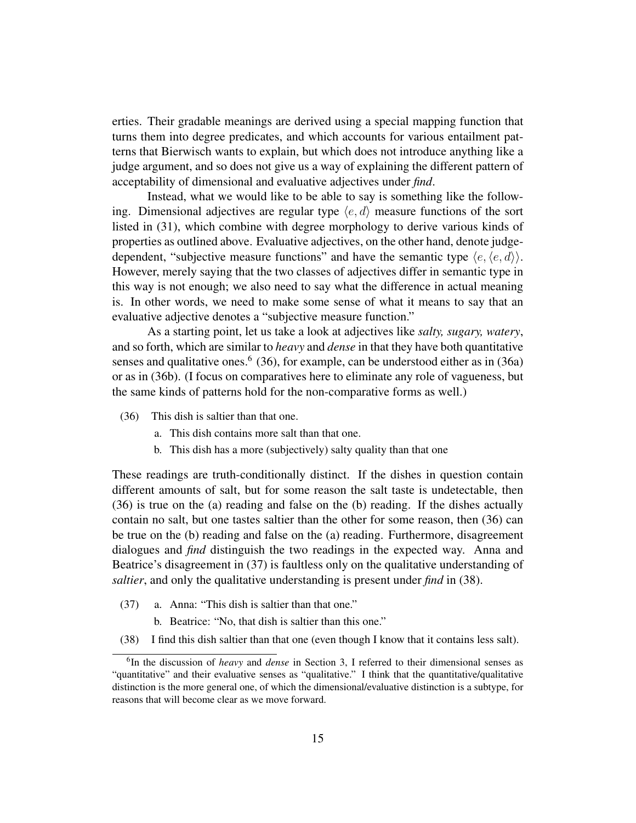erties. Their gradable meanings are derived using a special mapping function that turns them into degree predicates, and which accounts for various entailment patterns that Bierwisch wants to explain, but which does not introduce anything like a judge argument, and so does not give us a way of explaining the different pattern of acceptability of dimensional and evaluative adjectives under *find*.

Instead, what we would like to be able to say is something like the following. Dimensional adjectives are regular type  $\langle e, d \rangle$  measure functions of the sort listed in (31), which combine with degree morphology to derive various kinds of properties as outlined above. Evaluative adjectives, on the other hand, denote judgedependent, "subjective measure functions" and have the semantic type  $\langle e, \langle e, d \rangle \rangle$ . However, merely saying that the two classes of adjectives differ in semantic type in this way is not enough; we also need to say what the difference in actual meaning is. In other words, we need to make some sense of what it means to say that an evaluative adjective denotes a "subjective measure function."

As a starting point, let us take a look at adjectives like *salty, sugary, watery*, and so forth, which are similar to *heavy* and *dense* in that they have both quantitative senses and qualitative ones.<sup>6</sup> (36), for example, can be understood either as in (36a) or as in (36b). (I focus on comparatives here to eliminate any role of vagueness, but the same kinds of patterns hold for the non-comparative forms as well.)

- (36) This dish is saltier than that one.
	- a. This dish contains more salt than that one.
	- b. This dish has a more (subjectively) salty quality than that one

These readings are truth-conditionally distinct. If the dishes in question contain different amounts of salt, but for some reason the salt taste is undetectable, then (36) is true on the (a) reading and false on the (b) reading. If the dishes actually contain no salt, but one tastes saltier than the other for some reason, then (36) can be true on the (b) reading and false on the (a) reading. Furthermore, disagreement dialogues and *find* distinguish the two readings in the expected way. Anna and Beatrice's disagreement in (37) is faultless only on the qualitative understanding of *saltier*, and only the qualitative understanding is present under *find* in (38).

- (37) a. Anna: "This dish is saltier than that one."
	- b. Beatrice: "No, that dish is saltier than this one."
- (38) I find this dish saltier than that one (even though I know that it contains less salt).

<sup>6</sup> In the discussion of *heavy* and *dense* in Section 3, I referred to their dimensional senses as "quantitative" and their evaluative senses as "qualitative." I think that the quantitative/qualitative distinction is the more general one, of which the dimensional/evaluative distinction is a subtype, for reasons that will become clear as we move forward.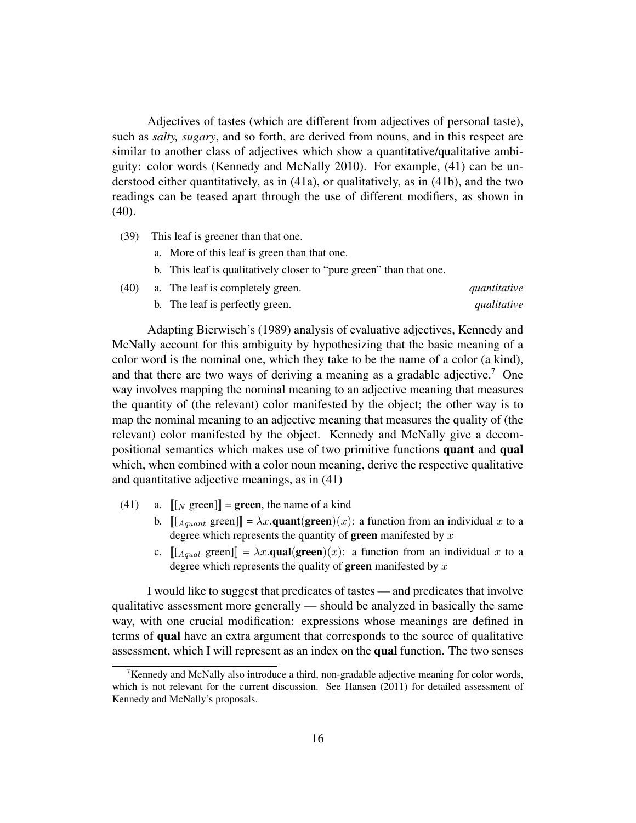Adjectives of tastes (which are different from adjectives of personal taste), such as *salty, sugary*, and so forth, are derived from nouns, and in this respect are similar to another class of adjectives which show a quantitative/qualitative ambiguity: color words (Kennedy and McNally 2010). For example, (41) can be understood either quantitatively, as in (41a), or qualitatively, as in (41b), and the two readings can be teased apart through the use of different modifiers, as shown in (40).

- (39) This leaf is greener than that one.
	- a. More of this leaf is green than that one.
	- b. This leaf is qualitatively closer to "pure green" than that one.
- (40) a. The leaf is completely green. *quantitative* b. The leaf is perfectly green. *qualitative*

Adapting Bierwisch's (1989) analysis of evaluative adjectives, Kennedy and McNally account for this ambiguity by hypothesizing that the basic meaning of a color word is the nominal one, which they take to be the name of a color (a kind), and that there are two ways of deriving a meaning as a gradable adjective.<sup>7</sup> One way involves mapping the nominal meaning to an adjective meaning that measures the quantity of (the relevant) color manifested by the object; the other way is to map the nominal meaning to an adjective meaning that measures the quality of (the relevant) color manifested by the object. Kennedy and McNally give a decompositional semantics which makes use of two primitive functions quant and qual which, when combined with a color noun meaning, derive the respective qualitative and quantitative adjective meanings, as in (41)

- (41) a.  $\llbracket [N \text{ green}] \rrbracket = \text{green}$ , the name of a kind
	- b.  $[[A<sub>quant</sub> green]] = \lambda x$ .**quant**(green)(x): a function from an individual x to a degree which represents the quantity of green manifested by  $x$
	- c.  $[[A_{qual} \text{green}]] = \lambda x.\text{qual}(\text{green})(x)$ : a function from an individual x to a degree which represents the quality of **green** manifested by  $x$

I would like to suggest that predicates of tastes — and predicates that involve qualitative assessment more generally — should be analyzed in basically the same way, with one crucial modification: expressions whose meanings are defined in terms of qual have an extra argument that corresponds to the source of qualitative assessment, which I will represent as an index on the qual function. The two senses

<sup>&</sup>lt;sup>7</sup>Kennedy and McNally also introduce a third, non-gradable adjective meaning for color words, which is not relevant for the current discussion. See Hansen (2011) for detailed assessment of Kennedy and McNally's proposals.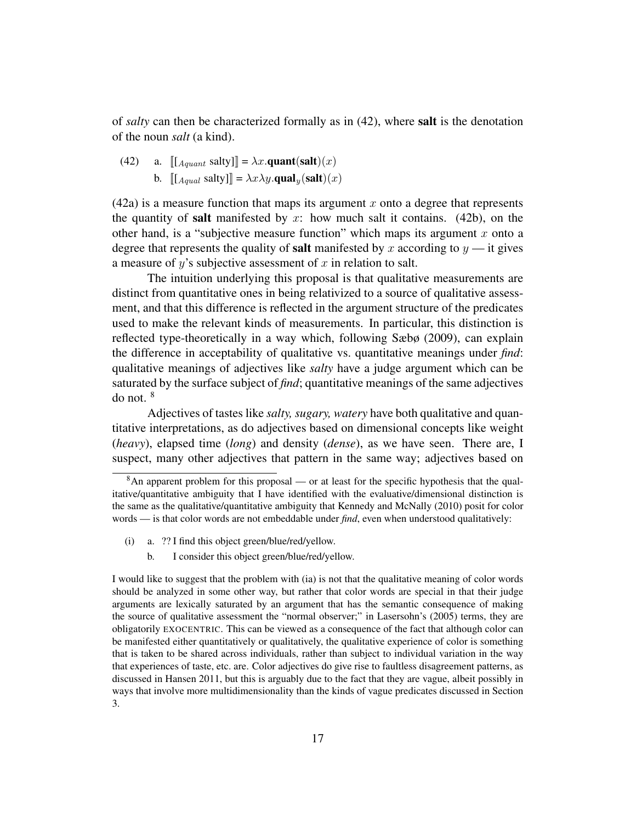of *salty* can then be characterized formally as in (42), where salt is the denotation of the noun *salt* (a kind).

(42) a.  $[[\Delta_{quant} \text{ salty}]] = \lambda x.\text{quant}(\text{salt})(x)$ b.  $\llbracket [A_{quad}]$  salty $]\rrbracket = \lambda x \lambda y$ .qual<sub>y</sub>(salt)(x)

 $(42a)$  is a measure function that maps its argument x onto a degree that represents the quantity of **salt** manifested by x: how much salt it contains. (42b), on the other hand, is a "subjective measure function" which maps its argument  $x$  onto a degree that represents the quality of **salt** manifested by x according to  $y$  — it gives a measure of  $y$ 's subjective assessment of  $x$  in relation to salt.

The intuition underlying this proposal is that qualitative measurements are distinct from quantitative ones in being relativized to a source of qualitative assessment, and that this difference is reflected in the argument structure of the predicates used to make the relevant kinds of measurements. In particular, this distinction is reflected type-theoretically in a way which, following Sæbø (2009), can explain the difference in acceptability of qualitative vs. quantitative meanings under *find*: qualitative meanings of adjectives like *salty* have a judge argument which can be saturated by the surface subject of *find*; quantitative meanings of the same adjectives do not.  $8$ 

Adjectives of tastes like *salty, sugary, watery* have both qualitative and quantitative interpretations, as do adjectives based on dimensional concepts like weight (*heavy*), elapsed time (*long*) and density (*dense*), as we have seen. There are, I suspect, many other adjectives that pattern in the same way; adjectives based on

- (i) a. ?? I find this object green/blue/red/yellow.
	- b. I consider this object green/blue/red/yellow.

I would like to suggest that the problem with (ia) is not that the qualitative meaning of color words should be analyzed in some other way, but rather that color words are special in that their judge arguments are lexically saturated by an argument that has the semantic consequence of making the source of qualitative assessment the "normal observer;" in Lasersohn's (2005) terms, they are obligatorily EXOCENTRIC. This can be viewed as a consequence of the fact that although color can be manifested either quantitatively or qualitatively, the qualitative experience of color is something that is taken to be shared across individuals, rather than subject to individual variation in the way that experiences of taste, etc. are. Color adjectives do give rise to faultless disagreement patterns, as discussed in Hansen 2011, but this is arguably due to the fact that they are vague, albeit possibly in ways that involve more multidimensionality than the kinds of vague predicates discussed in Section 3.

 $8$ An apparent problem for this proposal — or at least for the specific hypothesis that the qualitative/quantitative ambiguity that I have identified with the evaluative/dimensional distinction is the same as the qualitative/quantitative ambiguity that Kennedy and McNally (2010) posit for color words — is that color words are not embeddable under *find*, even when understood qualitatively: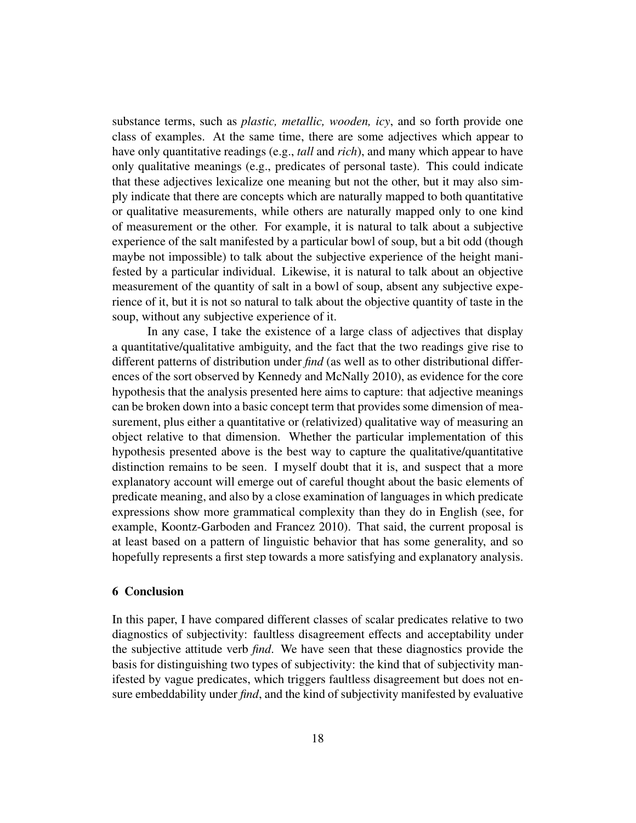substance terms, such as *plastic, metallic, wooden, icy*, and so forth provide one class of examples. At the same time, there are some adjectives which appear to have only quantitative readings (e.g., *tall* and *rich*), and many which appear to have only qualitative meanings (e.g., predicates of personal taste). This could indicate that these adjectives lexicalize one meaning but not the other, but it may also simply indicate that there are concepts which are naturally mapped to both quantitative or qualitative measurements, while others are naturally mapped only to one kind of measurement or the other. For example, it is natural to talk about a subjective experience of the salt manifested by a particular bowl of soup, but a bit odd (though maybe not impossible) to talk about the subjective experience of the height manifested by a particular individual. Likewise, it is natural to talk about an objective measurement of the quantity of salt in a bowl of soup, absent any subjective experience of it, but it is not so natural to talk about the objective quantity of taste in the soup, without any subjective experience of it.

In any case, I take the existence of a large class of adjectives that display a quantitative/qualitative ambiguity, and the fact that the two readings give rise to different patterns of distribution under *find* (as well as to other distributional differences of the sort observed by Kennedy and McNally 2010), as evidence for the core hypothesis that the analysis presented here aims to capture: that adjective meanings can be broken down into a basic concept term that provides some dimension of measurement, plus either a quantitative or (relativized) qualitative way of measuring an object relative to that dimension. Whether the particular implementation of this hypothesis presented above is the best way to capture the qualitative/quantitative distinction remains to be seen. I myself doubt that it is, and suspect that a more explanatory account will emerge out of careful thought about the basic elements of predicate meaning, and also by a close examination of languages in which predicate expressions show more grammatical complexity than they do in English (see, for example, Koontz-Garboden and Francez 2010). That said, the current proposal is at least based on a pattern of linguistic behavior that has some generality, and so hopefully represents a first step towards a more satisfying and explanatory analysis.

### 6 Conclusion

In this paper, I have compared different classes of scalar predicates relative to two diagnostics of subjectivity: faultless disagreement effects and acceptability under the subjective attitude verb *find*. We have seen that these diagnostics provide the basis for distinguishing two types of subjectivity: the kind that of subjectivity manifested by vague predicates, which triggers faultless disagreement but does not ensure embeddability under *find*, and the kind of subjectivity manifested by evaluative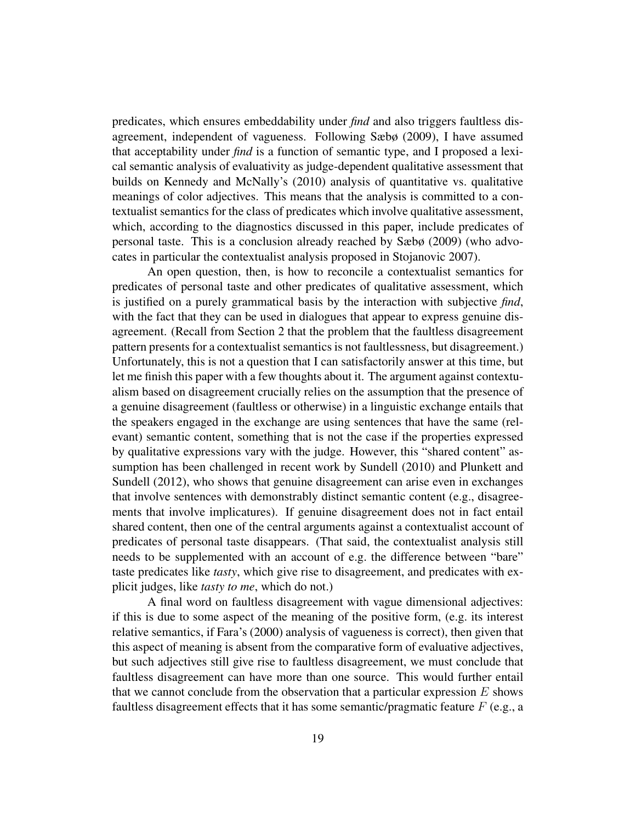predicates, which ensures embeddability under *find* and also triggers faultless disagreement, independent of vagueness. Following Sæbø (2009), I have assumed that acceptability under *find* is a function of semantic type, and I proposed a lexical semantic analysis of evaluativity as judge-dependent qualitative assessment that builds on Kennedy and McNally's (2010) analysis of quantitative vs. qualitative meanings of color adjectives. This means that the analysis is committed to a contextualist semantics for the class of predicates which involve qualitative assessment, which, according to the diagnostics discussed in this paper, include predicates of personal taste. This is a conclusion already reached by Sæbø (2009) (who advocates in particular the contextualist analysis proposed in Stojanovic 2007).

An open question, then, is how to reconcile a contextualist semantics for predicates of personal taste and other predicates of qualitative assessment, which is justified on a purely grammatical basis by the interaction with subjective *find*, with the fact that they can be used in dialogues that appear to express genuine disagreement. (Recall from Section 2 that the problem that the faultless disagreement pattern presents for a contextualist semantics is not faultlessness, but disagreement.) Unfortunately, this is not a question that I can satisfactorily answer at this time, but let me finish this paper with a few thoughts about it. The argument against contextualism based on disagreement crucially relies on the assumption that the presence of a genuine disagreement (faultless or otherwise) in a linguistic exchange entails that the speakers engaged in the exchange are using sentences that have the same (relevant) semantic content, something that is not the case if the properties expressed by qualitative expressions vary with the judge. However, this "shared content" assumption has been challenged in recent work by Sundell (2010) and Plunkett and Sundell (2012), who shows that genuine disagreement can arise even in exchanges that involve sentences with demonstrably distinct semantic content (e.g., disagreements that involve implicatures). If genuine disagreement does not in fact entail shared content, then one of the central arguments against a contextualist account of predicates of personal taste disappears. (That said, the contextualist analysis still needs to be supplemented with an account of e.g. the difference between "bare" taste predicates like *tasty*, which give rise to disagreement, and predicates with explicit judges, like *tasty to me*, which do not.)

A final word on faultless disagreement with vague dimensional adjectives: if this is due to some aspect of the meaning of the positive form, (e.g. its interest relative semantics, if Fara's (2000) analysis of vagueness is correct), then given that this aspect of meaning is absent from the comparative form of evaluative adjectives, but such adjectives still give rise to faultless disagreement, we must conclude that faultless disagreement can have more than one source. This would further entail that we cannot conclude from the observation that a particular expression  $E$  shows faultless disagreement effects that it has some semantic/pragmatic feature  $F$  (e.g., a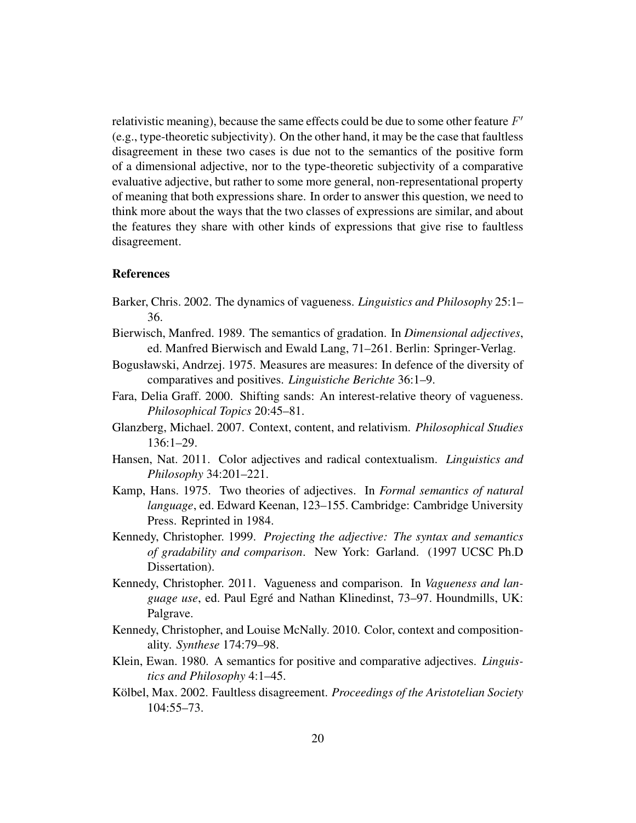relativistic meaning), because the same effects could be due to some other feature  $F'$ (e.g., type-theoretic subjectivity). On the other hand, it may be the case that faultless disagreement in these two cases is due not to the semantics of the positive form of a dimensional adjective, nor to the type-theoretic subjectivity of a comparative evaluative adjective, but rather to some more general, non-representational property of meaning that both expressions share. In order to answer this question, we need to think more about the ways that the two classes of expressions are similar, and about the features they share with other kinds of expressions that give rise to faultless disagreement.

#### References

- Barker, Chris. 2002. The dynamics of vagueness. *Linguistics and Philosophy* 25:1– 36.
- Bierwisch, Manfred. 1989. The semantics of gradation. In *Dimensional adjectives*, ed. Manfred Bierwisch and Ewald Lang, 71–261. Berlin: Springer-Verlag.
- Bogusławski, Andrzej. 1975. Measures are measures: In defence of the diversity of comparatives and positives. *Linguistiche Berichte* 36:1–9.
- Fara, Delia Graff. 2000. Shifting sands: An interest-relative theory of vagueness. *Philosophical Topics* 20:45–81.
- Glanzberg, Michael. 2007. Context, content, and relativism. *Philosophical Studies* 136:1–29.
- Hansen, Nat. 2011. Color adjectives and radical contextualism. *Linguistics and Philosophy* 34:201–221.
- Kamp, Hans. 1975. Two theories of adjectives. In *Formal semantics of natural language*, ed. Edward Keenan, 123–155. Cambridge: Cambridge University Press. Reprinted in 1984.
- Kennedy, Christopher. 1999. *Projecting the adjective: The syntax and semantics of gradability and comparison*. New York: Garland. (1997 UCSC Ph.D Dissertation).
- Kennedy, Christopher. 2011. Vagueness and comparison. In *Vagueness and language use*, ed. Paul Egré and Nathan Klinedinst, 73–97. Houndmills, UK: Palgrave.
- Kennedy, Christopher, and Louise McNally. 2010. Color, context and compositionality. *Synthese* 174:79–98.
- Klein, Ewan. 1980. A semantics for positive and comparative adjectives. *Linguistics and Philosophy* 4:1–45.
- Kölbel, Max. 2002. Faultless disagreement. *Proceedings of the Aristotelian Society* 104:55–73.